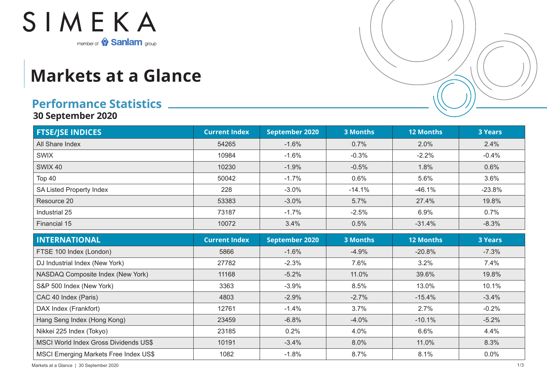

## **Markets at a Glance**

## **Performance Statistics**

**30 September 2020**

| <b>FTSE/JSE INDICES</b>                      | <b>Current Index</b> | September 2020        | <b>3 Months</b> | <b>12 Months</b> | <b>3 Years</b> |
|----------------------------------------------|----------------------|-----------------------|-----------------|------------------|----------------|
| All Share Index                              | 54265                | $-1.6%$               | 0.7%            | 2.0%             | 2.4%           |
| <b>SWIX</b>                                  | 10984                | $-1.6%$               | $-0.3%$         | $-2.2%$          | $-0.4%$        |
| <b>SWIX 40</b>                               | 10230                | $-1.9%$               | $-0.5%$         | 1.8%             | 0.6%           |
| <b>Top 40</b>                                | 50042                | $-1.7%$               | 0.6%            | 5.6%             | 3.6%           |
| SA Listed Property Index                     | 228                  | $-3.0%$               | $-14.1%$        | $-46.1%$         | $-23.8%$       |
| Resource 20                                  | 53383                | $-3.0%$               | 5.7%            | 27.4%            | 19.8%          |
| Industrial 25                                | 73187                | $-1.7%$               | $-2.5%$         | 6.9%             | 0.7%           |
| Financial 15                                 | 10072                | 3.4%                  | 0.5%            | $-31.4%$         | $-8.3%$        |
| <b>INTERNATIONAL</b>                         | <b>Current Index</b> | <b>September 2020</b> | <b>3 Months</b> | <b>12 Months</b> | <b>3 Years</b> |
| FTSE 100 Index (London)                      | 5866                 | $-1.6%$               | $-4.9%$         | $-20.8%$         | $-7.3%$        |
| DJ Industrial Index (New York)               | 27782                | $-2.3%$               | 7.6%            | 3.2%             | 7.4%           |
| NASDAQ Composite Index (New York)            | 11168                | $-5.2%$               | 11.0%           | 39.6%            | 19.8%          |
| S&P 500 Index (New York)                     | 3363                 | $-3.9%$               | 8.5%            | 13.0%            | 10.1%          |
| CAC 40 Index (Paris)                         | 4803                 | $-2.9%$               | $-2.7%$         | $-15.4%$         | $-3.4%$        |
| DAX Index (Frankfort)                        | 12761                | $-1.4%$               | 3.7%            | 2.7%             | $-0.2%$        |
| Hang Seng Index (Hong Kong)                  | 23459                | $-6.8%$               | $-4.0%$         | $-10.1%$         | $-5.2%$        |
| Nikkei 225 Index (Tokyo)                     | 23185                | 0.2%                  | 4.0%            | 6.6%             | 4.4%           |
| <b>MSCI World Index Gross Dividends US\$</b> | 10191                | $-3.4%$               | 8.0%            | 11.0%            | 8.3%           |
| <b>MSCI Emerging Markets Free Index US\$</b> | 1082                 | $-1.8%$               | 8.7%            | 8.1%             | 0.0%           |

Markets at a Glance | 30 September 2020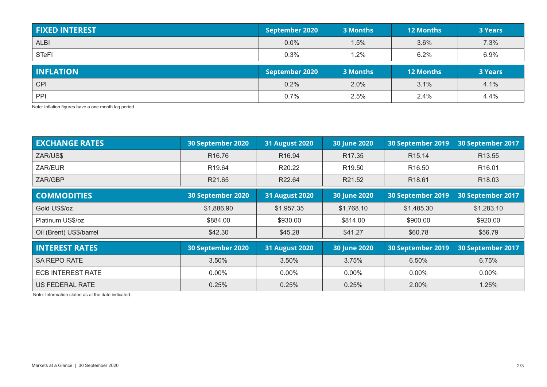| <b>FIXED INTEREST</b> | September 2020 | 3 Months | <b>12 Months</b> | <b>3 Years</b> |
|-----------------------|----------------|----------|------------------|----------------|
| <b>ALBI</b>           | 0.0%           | 1.5%     | 3.6%             | 7.3%           |
| <b>STeFI</b>          | 0.3%           | $.2\%$   | 6.2%             | 6.9%           |
|                       |                |          |                  |                |
| <b>INFLATION</b>      | September 2020 | 3 Months | <b>12 Months</b> | <b>3 Years</b> |
| <b>CPI</b>            | 0.2%           | 2.0%     | 3.1%             | 4.1%           |

Note: Inflation figures have a one month lag period.

| <b>EXCHANGE RATES</b>    | 30 September 2020  | <b>31 August 2020</b> | 30 June 2020       | 30 September 2019  | 30 September 2017  |
|--------------------------|--------------------|-----------------------|--------------------|--------------------|--------------------|
| ZAR/US\$                 | R <sub>16.76</sub> | R <sub>16.94</sub>    | R <sub>17.35</sub> | R <sub>15.14</sub> | R <sub>13.55</sub> |
| ZAR/EUR                  | R19.64             | R20.22                | R <sub>19.50</sub> | R <sub>16.50</sub> | R <sub>16.01</sub> |
| ZAR/GBP                  | R21.65             | R22.64                | R21.52             | R <sub>18.61</sub> | R <sub>18.03</sub> |
| <b>COMMODITIES</b>       | 30 September 2020  | <b>31 August 2020</b> | 30 June 2020       | 30 September 2019  | 30 September 2017  |
| Gold US\$/oz             | \$1,886.90         | \$1,957.35            | \$1,768.10         | \$1,485.30         | \$1,283.10         |
| Platinum US\$/oz         | \$884.00           | \$930.00              | \$814.00           | \$900.00           | \$920.00           |
| Oil (Brent) US\$/barrel  | \$42.30            | \$45.28               | \$41.27            | \$60.78            | \$56.79            |
| <b>INTEREST RATES</b>    | 30 September 2020  | <b>31 August 2020</b> | 30 June 2020       | 30 September 2019  | 30 September 2017  |
| <b>SA REPO RATE</b>      | 3.50%              | 3.50%                 | 3.75%              | 6.50%              | 6.75%              |
| <b>ECB INTEREST RATE</b> | $0.00\%$           | $0.00\%$              | $0.00\%$           | $0.00\%$           | $0.00\%$           |
| US FEDERAL RATE          | 0.25%              | 0.25%                 | 0.25%              | 2.00%              | 1.25%              |

Note: Information stated as at the date indicated.